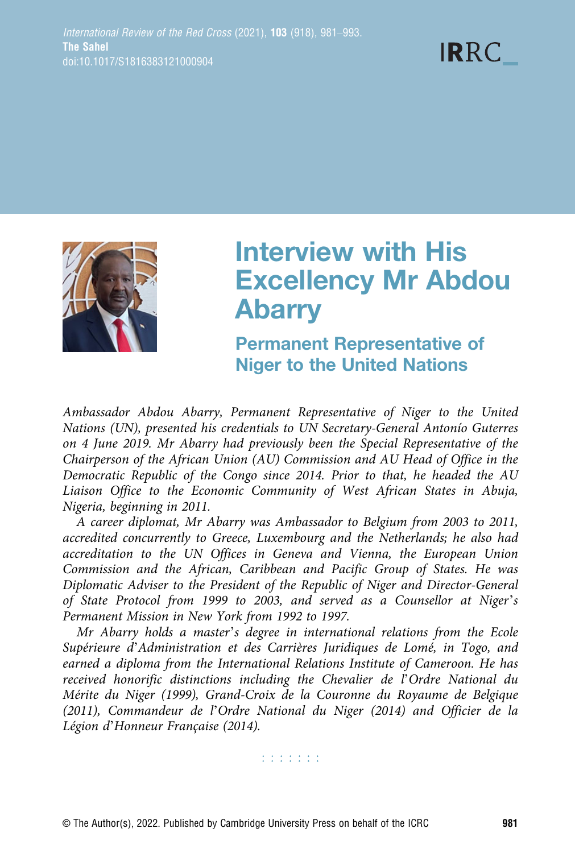



# Interview with His Excellency Mr Abdou Abarry

Permanent Representative of Niger to the United Nations

Ambassador Abdou Abarry, Permanent Representative of Niger to the United Nations (UN), presented his credentials to UN Secretary-General Antonío Guterres on 4 June 2019. Mr Abarry had previously been the Special Representative of the Chairperson of the African Union (AU) Commission and AU Head of Office in the Democratic Republic of the Congo since 2014. Prior to that, he headed the AU Liaison Office to the Economic Community of West African States in Abuja, Nigeria, beginning in 2011.

A career diplomat, Mr Abarry was Ambassador to Belgium from 2003 to 2011, accredited concurrently to Greece, Luxembourg and the Netherlands; he also had accreditation to the UN Offices in Geneva and Vienna, the European Union Commission and the African, Caribbean and Pacific Group of States. He was Diplomatic Adviser to the President of the Republic of Niger and Director-General of State Protocol from 1999 to 2003, and served as a Counsellor at Niger's Permanent Mission in New York from 1992 to 1997.

Mr Abarry holds a master's degree in international relations from the Ecole Supérieure d'Administration et des Carrières Juridiques de Lomé, in Togo, and earned a diploma from the International Relations Institute of Cameroon. He has received honorific distinctions including the Chevalier de l'Ordre National du Mérite du Niger (1999), Grand-Croix de la Couronne du Royaume de Belgique (2011), Commandeur de l'Ordre National du Niger (2014) and Officier de la Légion d'Honneur Française (2014).

**TERRITE**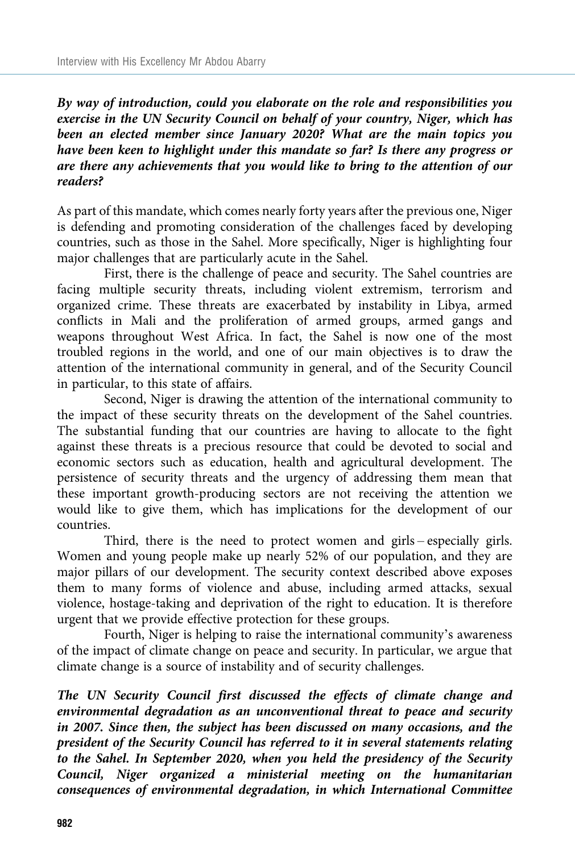By way of introduction, could you elaborate on the role and responsibilities you exercise in the UN Security Council on behalf of your country, Niger, which has been an elected member since January 2020? What are the main topics you have been keen to highlight under this mandate so far? Is there any progress or are there any achievements that you would like to bring to the attention of our readers?

As part of this mandate, which comes nearly forty years after the previous one, Niger is defending and promoting consideration of the challenges faced by developing countries, such as those in the Sahel. More specifically, Niger is highlighting four major challenges that are particularly acute in the Sahel.

First, there is the challenge of peace and security. The Sahel countries are facing multiple security threats, including violent extremism, terrorism and organized crime. These threats are exacerbated by instability in Libya, armed conflicts in Mali and the proliferation of armed groups, armed gangs and weapons throughout West Africa. In fact, the Sahel is now one of the most troubled regions in the world, and one of our main objectives is to draw the attention of the international community in general, and of the Security Council in particular, to this state of affairs.

Second, Niger is drawing the attention of the international community to the impact of these security threats on the development of the Sahel countries. The substantial funding that our countries are having to allocate to the fight against these threats is a precious resource that could be devoted to social and economic sectors such as education, health and agricultural development. The persistence of security threats and the urgency of addressing them mean that these important growth-producing sectors are not receiving the attention we would like to give them, which has implications for the development of our countries.

Third, there is the need to protect women and girls – especially girls. Women and young people make up nearly 52% of our population, and they are major pillars of our development. The security context described above exposes them to many forms of violence and abuse, including armed attacks, sexual violence, hostage-taking and deprivation of the right to education. It is therefore urgent that we provide effective protection for these groups.

Fourth, Niger is helping to raise the international community's awareness of the impact of climate change on peace and security. In particular, we argue that climate change is a source of instability and of security challenges.

The UN Security Council first discussed the effects of climate change and environmental degradation as an unconventional threat to peace and security in 2007. Since then, the subject has been discussed on many occasions, and the president of the Security Council has referred to it in several statements relating to the Sahel. In September 2020, when you held the presidency of the Security Council, Niger organized a ministerial meeting on the humanitarian consequences of environmental degradation, in which International Committee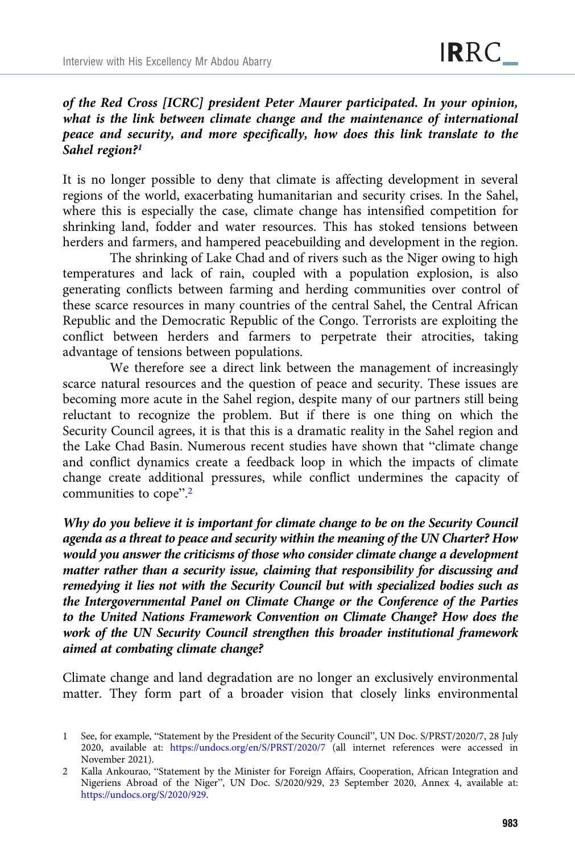## of the Red Cross [ICRC] president Peter Maurer participated. In your opinion, what is the link between climate change and the maintenance of international peace and security, and more specifically, how does this link translate to the Sahel region?<sup>1</sup>

It is no longer possible to deny that climate is affecting development in several regions of the world, exacerbating humanitarian and security crises. In the Sahel, where this is especially the case, climate change has intensified competition for shrinking land, fodder and water resources. This has stoked tensions between herders and farmers, and hampered peacebuilding and development in the region.

The shrinking of Lake Chad and of rivers such as the Niger owing to high temperatures and lack of rain, coupled with a population explosion, is also generating conflicts between farming and herding communities over control of these scarce resources in many countries of the central Sahel, the Central African Republic and the Democratic Republic of the Congo. Terrorists are exploiting the conflict between herders and farmers to perpetrate their atrocities, taking advantage of tensions between populations.

We therefore see a direct link between the management of increasingly scarce natural resources and the question of peace and security. These issues are becoming more acute in the Sahel region, despite many of our partners still being reluctant to recognize the problem. But if there is one thing on which the Security Council agrees, it is that this is a dramatic reality in the Sahel region and the Lake Chad Basin. Numerous recent studies have shown that "climate change and conflict dynamics create a feedback loop in which the impacts of climate change create additional pressures, while conflict undermines the capacity of communities to cope".<sup>2</sup>

Why do you believe it is important for climate change to be on the Security Council agenda as a threat to peace and security within the meaning of the UN Charter? How would you answer the criticisms of those who consider climate change a development matter rather than a security issue, claiming that responsibility for discussing and remedying it lies not with the Security Council but with specialized bodies such as the Intergovernmental Panel on Climate Change or the Conference of the Parties to the United Nations Framework Convention on Climate Change? How does the work of the UN Security Council strengthen this broader institutional framework aimed at combating climate change?

Climate change and land degradation are no longer an exclusively environmental matter. They form part of a broader vision that closely links environmental

<sup>1</sup> See, for example, "Statement by the President of the Security Council", UN Doc. S/PRST/2020/7, 28 July 2020, available at: <https://undocs.org/en/S/PRST/2020/7> (all internet references were accessed in November 2021).

<sup>2</sup> Kalla Ankourao, "Statement by the Minister for Foreign Affairs, Cooperation, African Integration and Nigeriens Abroad of the Niger", UN Doc. S/2020/929, 23 September 2020, Annex 4, available at: <https://undocs.org/S/2020/929>.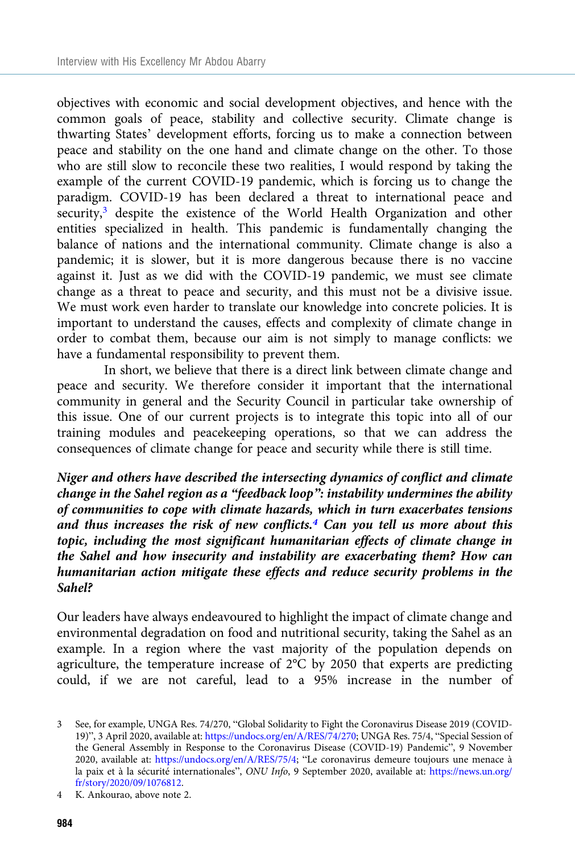objectives with economic and social development objectives, and hence with the common goals of peace, stability and collective security. Climate change is thwarting States' development efforts, forcing us to make a connection between peace and stability on the one hand and climate change on the other. To those who are still slow to reconcile these two realities, I would respond by taking the example of the current COVID-19 pandemic, which is forcing us to change the paradigm. COVID-19 has been declared a threat to international peace and security,<sup>3</sup> despite the existence of the World Health Organization and other entities specialized in health. This pandemic is fundamentally changing the balance of nations and the international community. Climate change is also a pandemic; it is slower, but it is more dangerous because there is no vaccine against it. Just as we did with the COVID-19 pandemic, we must see climate change as a threat to peace and security, and this must not be a divisive issue. We must work even harder to translate our knowledge into concrete policies. It is important to understand the causes, effects and complexity of climate change in order to combat them, because our aim is not simply to manage conflicts: we have a fundamental responsibility to prevent them.

In short, we believe that there is a direct link between climate change and peace and security. We therefore consider it important that the international community in general and the Security Council in particular take ownership of this issue. One of our current projects is to integrate this topic into all of our training modules and peacekeeping operations, so that we can address the consequences of climate change for peace and security while there is still time.

Niger and others have described the intersecting dynamics of conflict and climate change in the Sahel region as a "feedback loop": instability undermines the ability of communities to cope with climate hazards, which in turn exacerbates tensions and thus increases the risk of new conflicts.<sup>4</sup> Can you tell us more about this topic, including the most significant humanitarian effects of climate change in the Sahel and how insecurity and instability are exacerbating them? How can humanitarian action mitigate these effects and reduce security problems in the Sahel?

Our leaders have always endeavoured to highlight the impact of climate change and environmental degradation on food and nutritional security, taking the Sahel as an example. In a region where the vast majority of the population depends on agriculture, the temperature increase of 2°C by 2050 that experts are predicting could, if we are not careful, lead to a 95% increase in the number of

<sup>3</sup> See, for example, UNGA Res. 74/270, "Global Solidarity to Fight the Coronavirus Disease 2019 (COVID-19)", 3 April 2020, available at: <https://undocs.org/en/A/RES/74/270>; UNGA Res. 75/4, "Special Session of the General Assembly in Response to the Coronavirus Disease (COVID-19) Pandemic", 9 November 2020, available at: <https://undocs.org/en/A/RES/75/4>; "Le coronavirus demeure toujours une menace à la paix et à la sécurité internationales", ONU Info, 9 September 2020, available at: [https://news.un.org/](https://news.un.org/fr/story/2020/09/1076812) [fr/story/2020/09/1076812.](https://news.un.org/fr/story/2020/09/1076812)

<sup>4</sup> K. Ankourao, above note 2.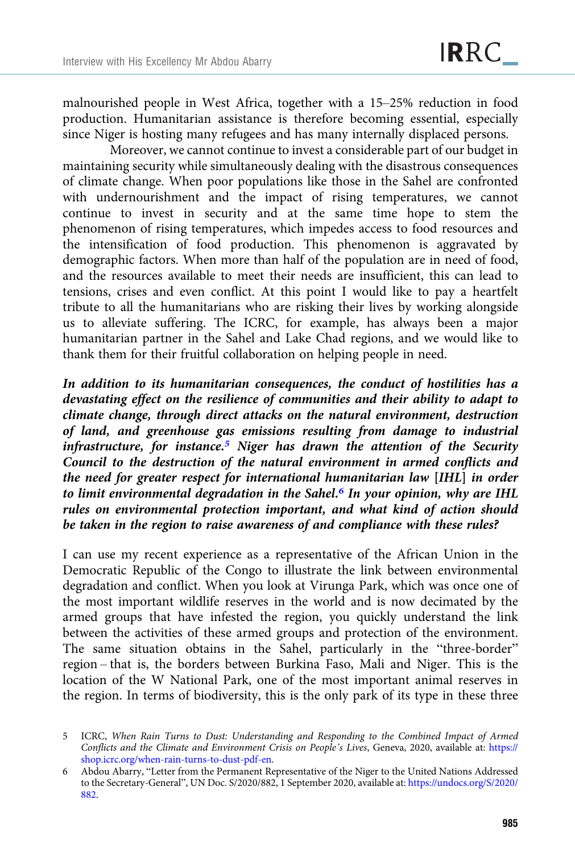malnourished people in West Africa, together with a 15–25% reduction in food production. Humanitarian assistance is therefore becoming essential, especially since Niger is hosting many refugees and has many internally displaced persons.

Moreover, we cannot continue to invest a considerable part of our budget in maintaining security while simultaneously dealing with the disastrous consequences of climate change. When poor populations like those in the Sahel are confronted with undernourishment and the impact of rising temperatures, we cannot continue to invest in security and at the same time hope to stem the phenomenon of rising temperatures, which impedes access to food resources and the intensification of food production. This phenomenon is aggravated by demographic factors. When more than half of the population are in need of food, and the resources available to meet their needs are insufficient, this can lead to tensions, crises and even conflict. At this point I would like to pay a heartfelt tribute to all the humanitarians who are risking their lives by working alongside us to alleviate suffering. The ICRC, for example, has always been a major humanitarian partner in the Sahel and Lake Chad regions, and we would like to thank them for their fruitful collaboration on helping people in need.

In addition to its humanitarian consequences, the conduct of hostilities has a devastating effect on the resilience of communities and their ability to adapt to climate change, through direct attacks on the natural environment, destruction of land, and greenhouse gas emissions resulting from damage to industrial infrastructure, for instance.<sup>5</sup> Niger has drawn the attention of the Security Council to the destruction of the natural environment in armed conflicts and the need for greater respect for international humanitarian law [IHL] in order to limit environmental degradation in the Sahel.<sup>6</sup> In your opinion, why are IHL rules on environmental protection important, and what kind of action should be taken in the region to raise awareness of and compliance with these rules?

I can use my recent experience as a representative of the African Union in the Democratic Republic of the Congo to illustrate the link between environmental degradation and conflict. When you look at Virunga Park, which was once one of the most important wildlife reserves in the world and is now decimated by the armed groups that have infested the region, you quickly understand the link between the activities of these armed groups and protection of the environment. The same situation obtains in the Sahel, particularly in the "three-border" region – that is, the borders between Burkina Faso, Mali and Niger. This is the location of the W National Park, one of the most important animal reserves in the region. In terms of biodiversity, this is the only park of its type in these three

<sup>5</sup> ICRC, When Rain Turns to Dust: Understanding and Responding to the Combined Impact of Armed Conflicts and the Climate and Environment Crisis on People's Lives, Geneva, 2020, available at: [https://](https://shop.icrc.org/when-rain-turns-to-dust-pdf-en) [shop.icrc.org/when-rain-turns-to-dust-pdf-en](https://shop.icrc.org/when-rain-turns-to-dust-pdf-en).

<sup>6</sup> Abdou Abarry, "Letter from the Permanent Representative of the Niger to the United Nations Addressed to the Secretary-General", UN Doc. S/2020/882, 1 September 2020, available at: [https://undocs.org/S/2020/](https://undocs.org/S/2020/882) [882](https://undocs.org/S/2020/882).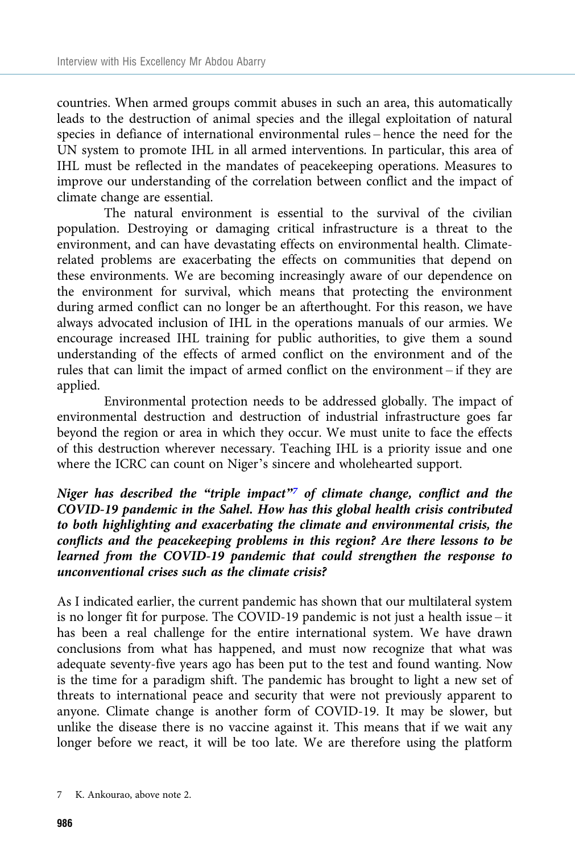countries. When armed groups commit abuses in such an area, this automatically leads to the destruction of animal species and the illegal exploitation of natural species in defiance of international environmental rules – hence the need for the UN system to promote IHL in all armed interventions. In particular, this area of IHL must be reflected in the mandates of peacekeeping operations. Measures to improve our understanding of the correlation between conflict and the impact of climate change are essential.

The natural environment is essential to the survival of the civilian population. Destroying or damaging critical infrastructure is a threat to the environment, and can have devastating effects on environmental health. Climaterelated problems are exacerbating the effects on communities that depend on these environments. We are becoming increasingly aware of our dependence on the environment for survival, which means that protecting the environment during armed conflict can no longer be an afterthought. For this reason, we have always advocated inclusion of IHL in the operations manuals of our armies. We encourage increased IHL training for public authorities, to give them a sound understanding of the effects of armed conflict on the environment and of the rules that can limit the impact of armed conflict on the environment – if they are applied.

Environmental protection needs to be addressed globally. The impact of environmental destruction and destruction of industrial infrastructure goes far beyond the region or area in which they occur. We must unite to face the effects of this destruction wherever necessary. Teaching IHL is a priority issue and one where the ICRC can count on Niger's sincere and wholehearted support.

Niger has described the "triple impact" $\overline{7}$  of climate change, conflict and the COVID-19 pandemic in the Sahel. How has this global health crisis contributed to both highlighting and exacerbating the climate and environmental crisis, the conflicts and the peacekeeping problems in this region? Are there lessons to be learned from the COVID-19 pandemic that could strengthen the response to unconventional crises such as the climate crisis?

As I indicated earlier, the current pandemic has shown that our multilateral system is no longer fit for purpose. The COVID-19 pandemic is not just a health issue – it has been a real challenge for the entire international system. We have drawn conclusions from what has happened, and must now recognize that what was adequate seventy-five years ago has been put to the test and found wanting. Now is the time for a paradigm shift. The pandemic has brought to light a new set of threats to international peace and security that were not previously apparent to anyone. Climate change is another form of COVID-19. It may be slower, but unlike the disease there is no vaccine against it. This means that if we wait any longer before we react, it will be too late. We are therefore using the platform

<sup>7</sup> K. Ankourao, above note 2.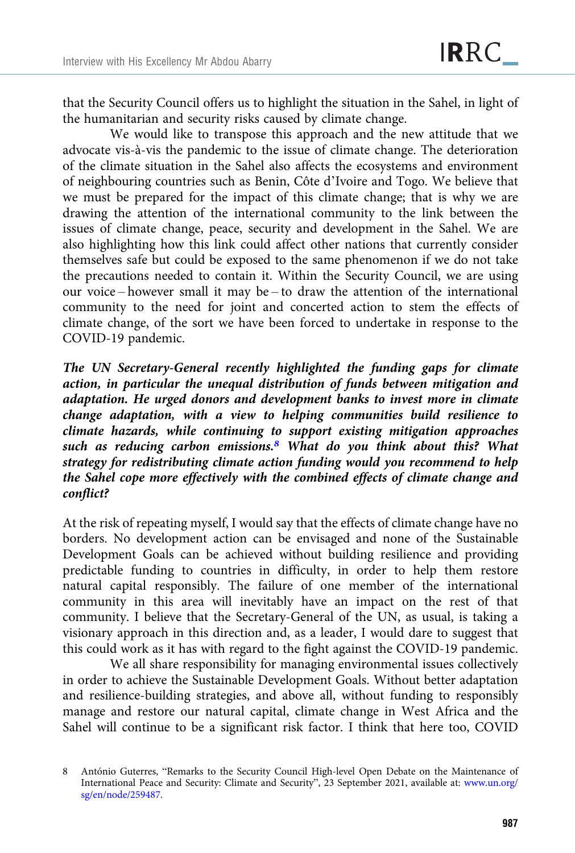that the Security Council offers us to highlight the situation in the Sahel, in light of the humanitarian and security risks caused by climate change.

We would like to transpose this approach and the new attitude that we advocate vis-à-vis the pandemic to the issue of climate change. The deterioration of the climate situation in the Sahel also affects the ecosystems and environment of neighbouring countries such as Benin, Côte d'Ivoire and Togo. We believe that we must be prepared for the impact of this climate change; that is why we are drawing the attention of the international community to the link between the issues of climate change, peace, security and development in the Sahel. We are also highlighting how this link could affect other nations that currently consider themselves safe but could be exposed to the same phenomenon if we do not take the precautions needed to contain it. Within the Security Council, we are using our voice – however small it may be – to draw the attention of the international community to the need for joint and concerted action to stem the effects of climate change, of the sort we have been forced to undertake in response to the COVID-19 pandemic.

The UN Secretary-General recently highlighted the funding gaps for climate action, in particular the unequal distribution of funds between mitigation and adaptation. He urged donors and development banks to invest more in climate change adaptation, with a view to helping communities build resilience to climate hazards, while continuing to support existing mitigation approaches such as reducing carbon emissions.<sup>8</sup> What do you think about this? What strategy for redistributing climate action funding would you recommend to help the Sahel cope more effectively with the combined effects of climate change and conflict?

At the risk of repeating myself, I would say that the effects of climate change have no borders. No development action can be envisaged and none of the Sustainable Development Goals can be achieved without building resilience and providing predictable funding to countries in difficulty, in order to help them restore natural capital responsibly. The failure of one member of the international community in this area will inevitably have an impact on the rest of that community. I believe that the Secretary-General of the UN, as usual, is taking a visionary approach in this direction and, as a leader, I would dare to suggest that this could work as it has with regard to the fight against the COVID-19 pandemic.

We all share responsibility for managing environmental issues collectively in order to achieve the Sustainable Development Goals. Without better adaptation and resilience-building strategies, and above all, without funding to responsibly manage and restore our natural capital, climate change in West Africa and the Sahel will continue to be a significant risk factor. I think that here too, COVID

<sup>8</sup> António Guterres, "Remarks to the Security Council High-level Open Debate on the Maintenance of International Peace and Security: Climate and Security", 23 September 2021, available at: [www.un.org/](https://www.un.org/sg/en/node/259487) [sg/en/node/259487.](https://www.un.org/sg/en/node/259487)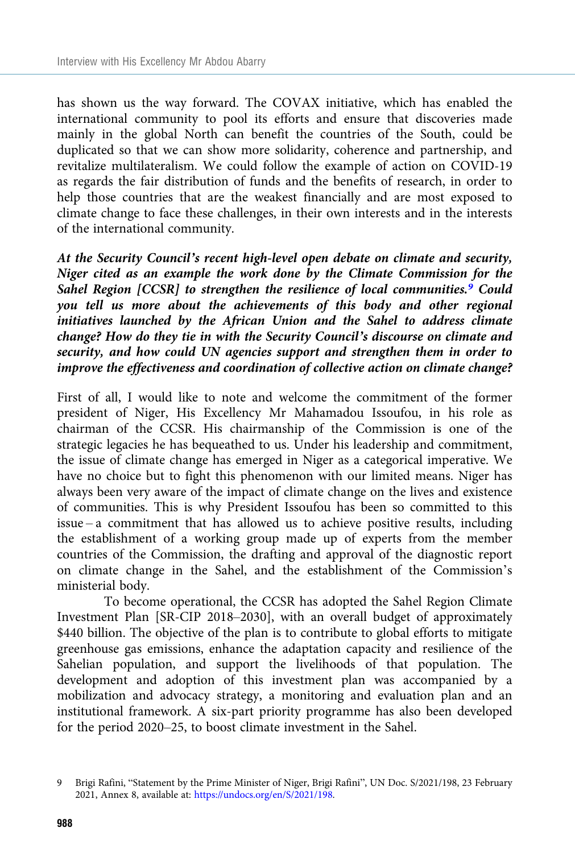has shown us the way forward. The COVAX initiative, which has enabled the international community to pool its efforts and ensure that discoveries made mainly in the global North can benefit the countries of the South, could be duplicated so that we can show more solidarity, coherence and partnership, and revitalize multilateralism. We could follow the example of action on COVID-19 as regards the fair distribution of funds and the benefits of research, in order to help those countries that are the weakest financially and are most exposed to climate change to face these challenges, in their own interests and in the interests of the international community.

At the Security Council's recent high-level open debate on climate and security, Niger cited as an example the work done by the Climate Commission for the Sahel Region  $[CCSR]$  to strengthen the resilience of local communities.<sup>9</sup> Could you tell us more about the achievements of this body and other regional initiatives launched by the African Union and the Sahel to address climate change? How do they tie in with the Security Council's discourse on climate and security, and how could UN agencies support and strengthen them in order to improve the effectiveness and coordination of collective action on climate change?

First of all, I would like to note and welcome the commitment of the former president of Niger, His Excellency Mr Mahamadou Issoufou, in his role as chairman of the CCSR. His chairmanship of the Commission is one of the strategic legacies he has bequeathed to us. Under his leadership and commitment, the issue of climate change has emerged in Niger as a categorical imperative. We have no choice but to fight this phenomenon with our limited means. Niger has always been very aware of the impact of climate change on the lives and existence of communities. This is why President Issoufou has been so committed to this issue – a commitment that has allowed us to achieve positive results, including the establishment of a working group made up of experts from the member countries of the Commission, the drafting and approval of the diagnostic report on climate change in the Sahel, and the establishment of the Commission's ministerial body.

To become operational, the CCSR has adopted the Sahel Region Climate Investment Plan [SR-CIP 2018–2030], with an overall budget of approximately \$440 billion. The objective of the plan is to contribute to global efforts to mitigate greenhouse gas emissions, enhance the adaptation capacity and resilience of the Sahelian population, and support the livelihoods of that population. The development and adoption of this investment plan was accompanied by a mobilization and advocacy strategy, a monitoring and evaluation plan and an institutional framework. A six-part priority programme has also been developed for the period 2020–25, to boost climate investment in the Sahel.

<sup>9</sup> Brigi Rafini, "Statement by the Prime Minister of Niger, Brigi Rafini", UN Doc. S/2021/198, 23 February 2021, Annex 8, available at: <https://undocs.org/en/S/2021/198>.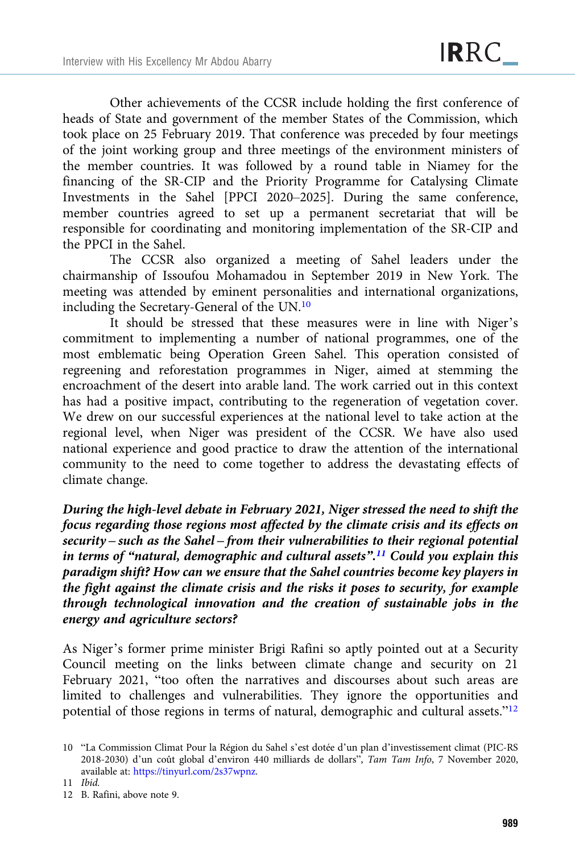Other achievements of the CCSR include holding the first conference of heads of State and government of the member States of the Commission, which took place on 25 February 2019. That conference was preceded by four meetings of the joint working group and three meetings of the environment ministers of the member countries. It was followed by a round table in Niamey for the financing of the SR-CIP and the Priority Programme for Catalysing Climate Investments in the Sahel [PPCI 2020–2025]. During the same conference, member countries agreed to set up a permanent secretariat that will be responsible for coordinating and monitoring implementation of the SR-CIP and the PPCI in the Sahel.

The CCSR also organized a meeting of Sahel leaders under the chairmanship of Issoufou Mohamadou in September 2019 in New York. The meeting was attended by eminent personalities and international organizations, including the Secretary-General of the UN.10

It should be stressed that these measures were in line with Niger's commitment to implementing a number of national programmes, one of the most emblematic being Operation Green Sahel. This operation consisted of regreening and reforestation programmes in Niger, aimed at stemming the encroachment of the desert into arable land. The work carried out in this context has had a positive impact, contributing to the regeneration of vegetation cover. We drew on our successful experiences at the national level to take action at the regional level, when Niger was president of the CCSR. We have also used national experience and good practice to draw the attention of the international community to the need to come together to address the devastating effects of climate change.

During the high-level debate in February 2021, Niger stressed the need to shift the focus regarding those regions most affected by the climate crisis and its effects on security – such as the Sahel – from their vulnerabilities to their regional potential in terms of "natural, demographic and cultural assets".<sup>11</sup> Could you explain this paradigm shift? How can we ensure that the Sahel countries become key players in the fight against the climate crisis and the risks it poses to security, for example through technological innovation and the creation of sustainable jobs in the energy and agriculture sectors?

As Niger's former prime minister Brigi Rafini so aptly pointed out at a Security Council meeting on the links between climate change and security on 21 February 2021, "too often the narratives and discourses about such areas are limited to challenges and vulnerabilities. They ignore the opportunities and potential of those regions in terms of natural, demographic and cultural assets."<sup>12</sup>

<sup>10</sup> "La Commission Climat Pour la Région du Sahel s'est dotée d'un plan d'investissement climat (PIC-RS 2018-2030) d'un coût global d'environ 440 milliards de dollars", Tam Tam Info, 7 November 2020, available at: <https://tinyurl.com/2s37wpnz>.

<sup>11</sup> Ibid.

<sup>12</sup> B. Rafini, above note 9.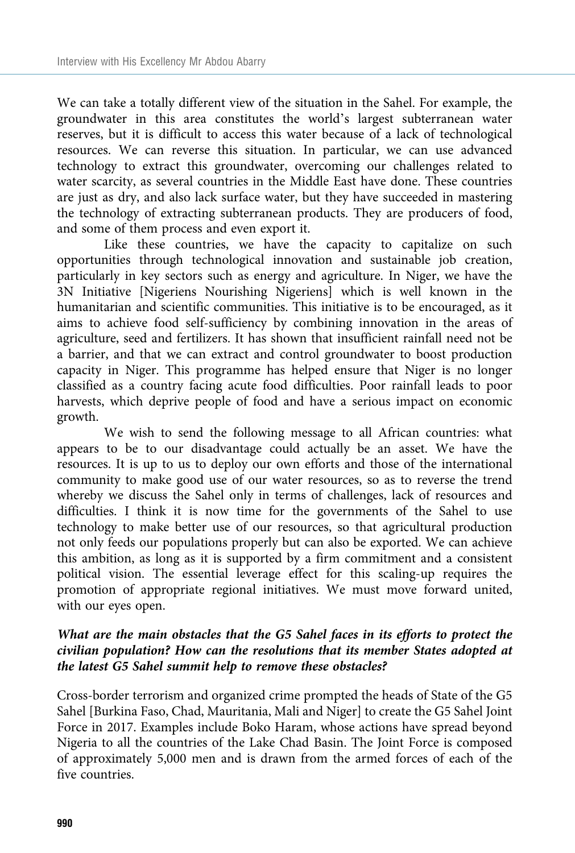We can take a totally different view of the situation in the Sahel. For example, the groundwater in this area constitutes the world's largest subterranean water reserves, but it is difficult to access this water because of a lack of technological resources. We can reverse this situation. In particular, we can use advanced technology to extract this groundwater, overcoming our challenges related to water scarcity, as several countries in the Middle East have done. These countries are just as dry, and also lack surface water, but they have succeeded in mastering the technology of extracting subterranean products. They are producers of food, and some of them process and even export it.

Like these countries, we have the capacity to capitalize on such opportunities through technological innovation and sustainable job creation, particularly in key sectors such as energy and agriculture. In Niger, we have the 3N Initiative [Nigeriens Nourishing Nigeriens] which is well known in the humanitarian and scientific communities. This initiative is to be encouraged, as it aims to achieve food self-sufficiency by combining innovation in the areas of agriculture, seed and fertilizers. It has shown that insufficient rainfall need not be a barrier, and that we can extract and control groundwater to boost production capacity in Niger. This programme has helped ensure that Niger is no longer classified as a country facing acute food difficulties. Poor rainfall leads to poor harvests, which deprive people of food and have a serious impact on economic growth.

We wish to send the following message to all African countries: what appears to be to our disadvantage could actually be an asset. We have the resources. It is up to us to deploy our own efforts and those of the international community to make good use of our water resources, so as to reverse the trend whereby we discuss the Sahel only in terms of challenges, lack of resources and difficulties. I think it is now time for the governments of the Sahel to use technology to make better use of our resources, so that agricultural production not only feeds our populations properly but can also be exported. We can achieve this ambition, as long as it is supported by a firm commitment and a consistent political vision. The essential leverage effect for this scaling-up requires the promotion of appropriate regional initiatives. We must move forward united, with our eyes open.

### What are the main obstacles that the G5 Sahel faces in its efforts to protect the civilian population? How can the resolutions that its member States adopted at the latest G5 Sahel summit help to remove these obstacles?

Cross-border terrorism and organized crime prompted the heads of State of the G5 Sahel [Burkina Faso, Chad, Mauritania, Mali and Niger] to create the G5 Sahel Joint Force in 2017. Examples include Boko Haram, whose actions have spread beyond Nigeria to all the countries of the Lake Chad Basin. The Joint Force is composed of approximately 5,000 men and is drawn from the armed forces of each of the five countries.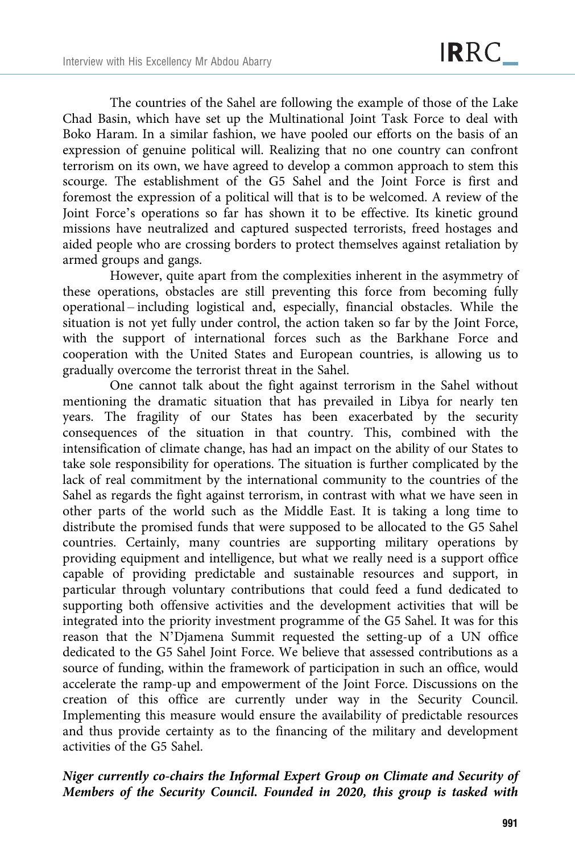The countries of the Sahel are following the example of those of the Lake Chad Basin, which have set up the Multinational Joint Task Force to deal with Boko Haram. In a similar fashion, we have pooled our efforts on the basis of an expression of genuine political will. Realizing that no one country can confront terrorism on its own, we have agreed to develop a common approach to stem this scourge. The establishment of the G5 Sahel and the Joint Force is first and foremost the expression of a political will that is to be welcomed. A review of the Joint Force's operations so far has shown it to be effective. Its kinetic ground missions have neutralized and captured suspected terrorists, freed hostages and aided people who are crossing borders to protect themselves against retaliation by armed groups and gangs.

However, quite apart from the complexities inherent in the asymmetry of these operations, obstacles are still preventing this force from becoming fully operational – including logistical and, especially, financial obstacles. While the situation is not yet fully under control, the action taken so far by the Joint Force, with the support of international forces such as the Barkhane Force and cooperation with the United States and European countries, is allowing us to gradually overcome the terrorist threat in the Sahel.

One cannot talk about the fight against terrorism in the Sahel without mentioning the dramatic situation that has prevailed in Libya for nearly ten years. The fragility of our States has been exacerbated by the security consequences of the situation in that country. This, combined with the intensification of climate change, has had an impact on the ability of our States to take sole responsibility for operations. The situation is further complicated by the lack of real commitment by the international community to the countries of the Sahel as regards the fight against terrorism, in contrast with what we have seen in other parts of the world such as the Middle East. It is taking a long time to distribute the promised funds that were supposed to be allocated to the G5 Sahel countries. Certainly, many countries are supporting military operations by providing equipment and intelligence, but what we really need is a support office capable of providing predictable and sustainable resources and support, in particular through voluntary contributions that could feed a fund dedicated to supporting both offensive activities and the development activities that will be integrated into the priority investment programme of the G5 Sahel. It was for this reason that the N'Djamena Summit requested the setting-up of a UN office dedicated to the G5 Sahel Joint Force. We believe that assessed contributions as a source of funding, within the framework of participation in such an office, would accelerate the ramp-up and empowerment of the Joint Force. Discussions on the creation of this office are currently under way in the Security Council. Implementing this measure would ensure the availability of predictable resources and thus provide certainty as to the financing of the military and development activities of the G5 Sahel.

### Niger currently co-chairs the Informal Expert Group on Climate and Security of Members of the Security Council. Founded in 2020, this group is tasked with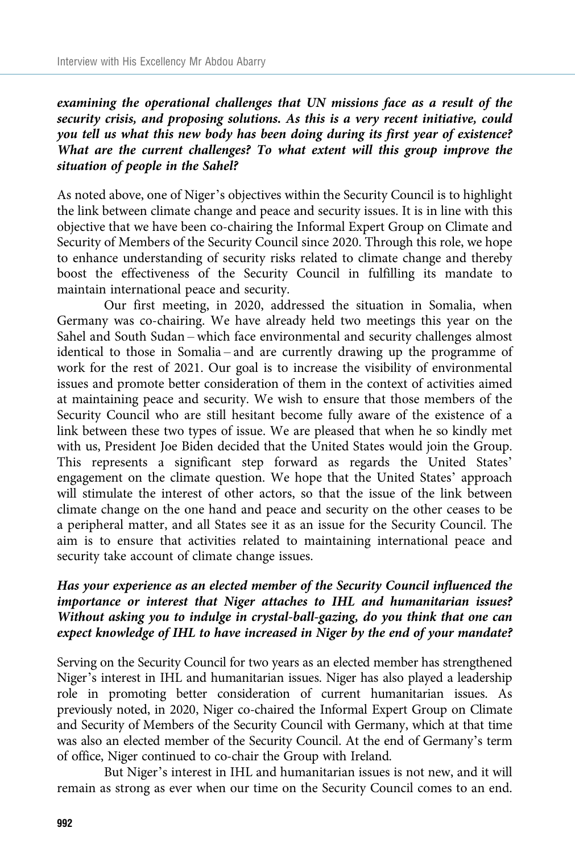examining the operational challenges that UN missions face as a result of the security crisis, and proposing solutions. As this is a very recent initiative, could you tell us what this new body has been doing during its first year of existence? What are the current challenges? To what extent will this group improve the situation of people in the Sahel?

As noted above, one of Niger's objectives within the Security Council is to highlight the link between climate change and peace and security issues. It is in line with this objective that we have been co-chairing the Informal Expert Group on Climate and Security of Members of the Security Council since 2020. Through this role, we hope to enhance understanding of security risks related to climate change and thereby boost the effectiveness of the Security Council in fulfilling its mandate to maintain international peace and security.

Our first meeting, in 2020, addressed the situation in Somalia, when Germany was co-chairing. We have already held two meetings this year on the Sahel and South Sudan – which face environmental and security challenges almost identical to those in Somalia – and are currently drawing up the programme of work for the rest of 2021. Our goal is to increase the visibility of environmental issues and promote better consideration of them in the context of activities aimed at maintaining peace and security. We wish to ensure that those members of the Security Council who are still hesitant become fully aware of the existence of a link between these two types of issue. We are pleased that when he so kindly met with us, President Joe Biden decided that the United States would join the Group. This represents a significant step forward as regards the United States' engagement on the climate question. We hope that the United States' approach will stimulate the interest of other actors, so that the issue of the link between climate change on the one hand and peace and security on the other ceases to be a peripheral matter, and all States see it as an issue for the Security Council. The aim is to ensure that activities related to maintaining international peace and security take account of climate change issues.

## Has your experience as an elected member of the Security Council influenced the importance or interest that Niger attaches to IHL and humanitarian issues? Without asking you to indulge in crystal-ball-gazing, do you think that one can expect knowledge of IHL to have increased in Niger by the end of your mandate?

Serving on the Security Council for two years as an elected member has strengthened Niger's interest in IHL and humanitarian issues. Niger has also played a leadership role in promoting better consideration of current humanitarian issues. As previously noted, in 2020, Niger co-chaired the Informal Expert Group on Climate and Security of Members of the Security Council with Germany, which at that time was also an elected member of the Security Council. At the end of Germany's term of office, Niger continued to co-chair the Group with Ireland.

But Niger's interest in IHL and humanitarian issues is not new, and it will remain as strong as ever when our time on the Security Council comes to an end.